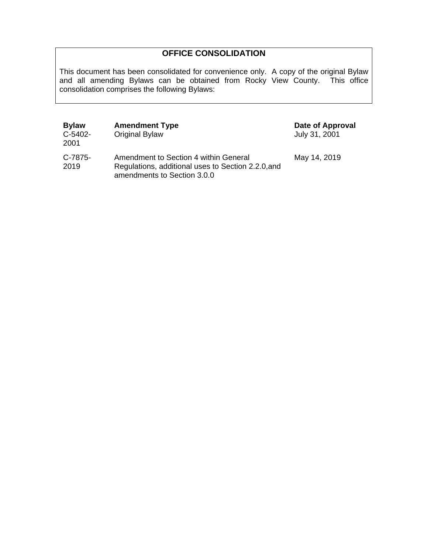# **OFFICE CONSOLIDATION**

This document has been consolidated for convenience only. A copy of the original Bylaw and all amending Bylaws can be obtained from Rocky View County. This office consolidation comprises the following Bylaws:

| <b>Bylaw</b><br>C-5402-<br>2001 | <b>Amendment Type</b><br>Original Bylaw                                                                                    | Date of Approval<br>July 31, 2001 |
|---------------------------------|----------------------------------------------------------------------------------------------------------------------------|-----------------------------------|
| C-7875-<br>2019                 | Amendment to Section 4 within General<br>Regulations, additional uses to Section 2.2.0, and<br>amendments to Section 3.0.0 | May 14, 2019                      |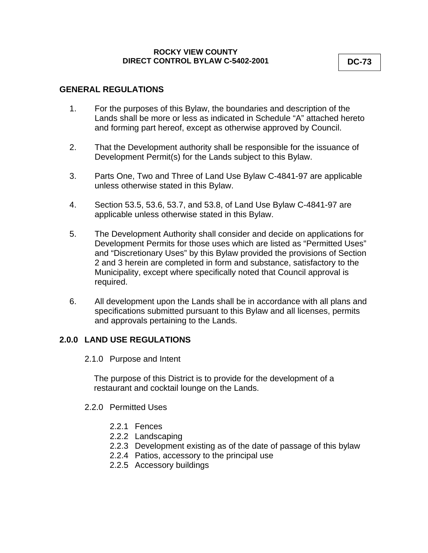#### **ROCKY VIEW COUNTY DIRECT CONTROL BYLAW C-5402-2001**

## **GENERAL REGULATIONS**

- 1. For the purposes of this Bylaw, the boundaries and description of the Lands shall be more or less as indicated in Schedule "A" attached hereto and forming part hereof, except as otherwise approved by Council.
- 2. That the Development authority shall be responsible for the issuance of Development Permit(s) for the Lands subject to this Bylaw.
- 3. Parts One, Two and Three of Land Use Bylaw C-4841-97 are applicable unless otherwise stated in this Bylaw.
- 4. Section 53.5, 53.6, 53.7, and 53.8, of Land Use Bylaw C-4841-97 are applicable unless otherwise stated in this Bylaw.
- 5. The Development Authority shall consider and decide on applications for Development Permits for those uses which are listed as "Permitted Uses" and "Discretionary Uses" by this Bylaw provided the provisions of Section 2 and 3 herein are completed in form and substance, satisfactory to the Municipality, except where specifically noted that Council approval is required.
- 6. All development upon the Lands shall be in accordance with all plans and specifications submitted pursuant to this Bylaw and all licenses, permits and approvals pertaining to the Lands.

### **2.0.0 LAND USE REGULATIONS**

2.1.0 Purpose and Intent

The purpose of this District is to provide for the development of a restaurant and cocktail lounge on the Lands.

- 2.2.0 Permitted Uses
	- 2.2.1 Fences
	- 2.2.2 Landscaping
	- 2.2.3 Development existing as of the date of passage of this bylaw
	- 2.2.4 Patios, accessory to the principal use
	- 2.2.5 Accessory buildings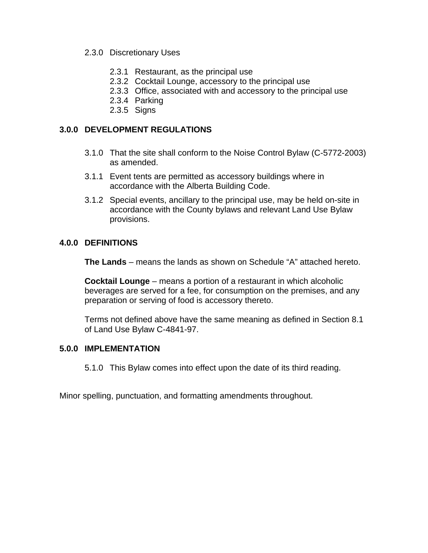### 2.3.0 Discretionary Uses

- 2.3.1 Restaurant, as the principal use
- 2.3.2 Cocktail Lounge, accessory to the principal use
- 2.3.3 Office, associated with and accessory to the principal use
- 2.3.4 Parking
- 2.3.5 Signs

## **3.0.0 DEVELOPMENT REGULATIONS**

- 3.1.0 That the site shall conform to the Noise Control Bylaw (C-5772-2003) as amended.
- 3.1.1 Event tents are permitted as accessory buildings where in accordance with the Alberta Building Code.
- 3.1.2 Special events, ancillary to the principal use, may be held on-site in accordance with the County bylaws and relevant Land Use Bylaw provisions.

#### **4.0.0 DEFINITIONS**

**The Lands** – means the lands as shown on Schedule "A" attached hereto.

**Cocktail Lounge** – means a portion of a restaurant in which alcoholic beverages are served for a fee, for consumption on the premises, and any preparation or serving of food is accessory thereto.

Terms not defined above have the same meaning as defined in Section 8.1 of Land Use Bylaw C-4841-97.

#### **5.0.0 IMPLEMENTATION**

5.1.0 This Bylaw comes into effect upon the date of its third reading.

Minor spelling, punctuation, and formatting amendments throughout.